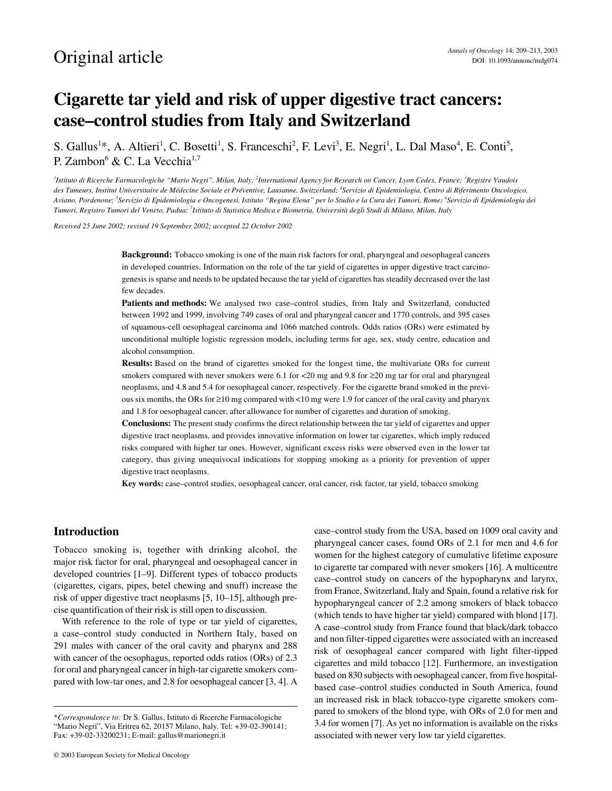# **Cigarette tar yield and risk of upper digestive tract cancers: case–control studies from Italy and Switzerland**

S. Gallus<sup>1\*</sup>, A. Altieri<sup>1</sup>, C. Bosetti<sup>1</sup>, S. Franceschi<sup>2</sup>, F. Levi<sup>3</sup>, E. Negri<sup>1</sup>, L. Dal Maso<sup>4</sup>, E. Conti<sup>5</sup>, P. Zambon<sup>6</sup> & C. La Vecchia<sup>1,7</sup>

*1 Istituto di Ricerche Farmacologiche "Mario Negri", Milan, Italy; <sup>2</sup> International Agency for Research on Cancer, Lyon Cedex, France; <sup>3</sup> Registre Vaudois des Tumeurs, Institut Universitaire de Médecine Sociale et Préventive, Lausanne, Switzerland; 4 Servizio di Epidemiologia, Centro di Riferimento Oncologico, Aviano, Pordenone; 5 Servizio di Epidemiologia e Oncogenesi, Istituto "Regina Elena" per lo Studio e la Cura dei Tumori, Rome; 6 Servizio di Epidemiologia dei Tumori, Registro Tumori del Veneto, Padua; 7 Istituto di Statistica Medica e Biometria, Università degli Studi di Milano, Milan, Italy*

*Received 25 June 2002; revised 19 September 2002; accepted 22 October 2002*

**Background:** Tobacco smoking is one of the main risk factors for oral, pharyngeal and oesophageal cancers in developed countries. Information on the role of the tar yield of cigarettes in upper digestive tract carcinogenesis is sparse and needs to be updated because the tar yield of cigarettes has steadily decreased over the last few decades.

**Patients and methods:** We analysed two case–control studies, from Italy and Switzerland, conducted between 1992 and 1999, involving 749 cases of oral and pharyngeal cancer and 1770 controls, and 395 cases of squamous-cell oesophageal carcinoma and 1066 matched controls. Odds ratios (ORs) were estimated by unconditional multiple logistic regression models, including terms for age, sex, study centre, education and alcohol consumption.

**Results:** Based on the brand of cigarettes smoked for the longest time, the multivariate ORs for current smokers compared with never smokers were 6.1 for <20 mg and 9.8 for ≥20 mg tar for oral and pharyngeal neoplasms, and 4.8 and 5.4 for oesophageal cancer, respectively. For the cigarette brand smoked in the previous six months, the ORs for ≥10 mg compared with <10 mg were 1.9 for cancer of the oral cavity and pharynx and 1.8 for oesophageal cancer, after allowance for number of cigarettes and duration of smoking.

**Conclusions:** The present study confirms the direct relationship between the tar yield of cigarettes and upper digestive tract neoplasms, and provides innovative information on lower tar cigarettes, which imply reduced risks compared with higher tar ones. However, significant excess risks were observed even in the lower tar category, thus giving unequivocal indications for stopping smoking as a priority for prevention of upper digestive tract neoplasms.

**Key words:** case–control studies, oesophageal cancer, oral cancer, risk factor, tar yield, tobacco smoking

#### **Introduction**

Tobacco smoking is, together with drinking alcohol, the major risk factor for oral, pharyngeal and oesophageal cancer in developed countries [1–9]. Different types of tobacco products (cigarettes, cigars, pipes, betel chewing and snuff) increase the risk of upper digestive tract neoplasms [5, 10–15], although precise quantification of their risk is still open to discussion.

With reference to the role of type or tar yield of cigarettes, a case–control study conducted in Northern Italy, based on 291 males with cancer of the oral cavity and pharynx and 288 with cancer of the oesophagus, reported odds ratios (ORs) of 2.3 for oral and pharyngeal cancer in high-tar cigarette smokers compared with low-tar ones, and 2.8 for oesophageal cancer [3, 4]. A

© 2003 European Society for Medical Oncology

case–control study from the USA, based on 1009 oral cavity and pharyngeal cancer cases, found ORs of 2.1 for men and 4.6 for women for the highest category of cumulative lifetime exposure to cigarette tar compared with never smokers [16]. A multicentre case–control study on cancers of the hypopharynx and larynx, from France, Switzerland, Italy and Spain, found a relative risk for hypopharyngeal cancer of 2.2 among smokers of black tobacco (which tends to have higher tar yield) compared with blond [17]. A case–control study from France found that black/dark tobacco and non filter-tipped cigarettes were associated with an increased risk of oesophageal cancer compared with light filter-tipped cigarettes and mild tobacco [12]. Furthermore, an investigation based on 830 subjects with oesophageal cancer, from five hospitalbased case–control studies conducted in South America, found an increased risk in black tobacco-type cigarette smokers compared to smokers of the blond type, with ORs of 2.0 for men and 3.4 for women [7]. As yet no information is available on the risks associated with newer very low tar yield cigarettes.

<sup>\*</sup>*Correspondence to:* Dr S. Gallus, Istituto di Ricerche Farmacologiche "Mario Negri", Via Eritrea 62, 20157 Milano, Italy. Tel: +39-02-390141; Fax: +39-02-33200231; E-mail: gallus@marionegri.it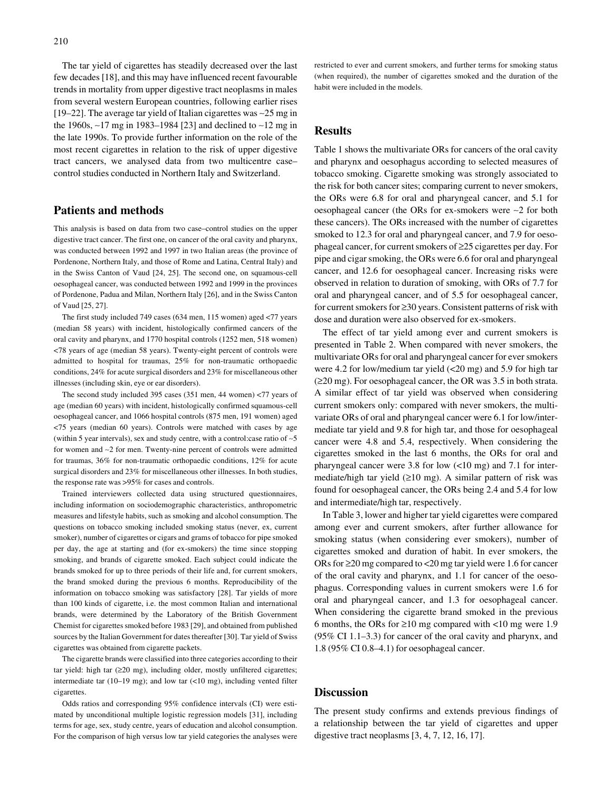The tar yield of cigarettes has steadily decreased over the last few decades [18], and this may have influenced recent favourable trends in mortality from upper digestive tract neoplasms in males from several western European countries, following earlier rises [19–22]. The average tar yield of Italian cigarettes was ∼25 mg in the 1960s, ∼17 mg in 1983–1984 [23] and declined to ∼12 mg in the late 1990s. To provide further information on the role of the most recent cigarettes in relation to the risk of upper digestive tract cancers, we analysed data from two multicentre case– control studies conducted in Northern Italy and Switzerland.

#### **Patients and methods**

This analysis is based on data from two case–control studies on the upper digestive tract cancer. The first one, on cancer of the oral cavity and pharynx, was conducted between 1992 and 1997 in two Italian areas (the province of Pordenone, Northern Italy, and those of Rome and Latina, Central Italy) and in the Swiss Canton of Vaud [24, 25]. The second one, on squamous-cell oesophageal cancer, was conducted between 1992 and 1999 in the provinces of Pordenone, Padua and Milan, Northern Italy [26], and in the Swiss Canton of Vaud [25, 27].

The first study included 749 cases (634 men, 115 women) aged <77 years (median 58 years) with incident, histologically confirmed cancers of the oral cavity and pharynx, and 1770 hospital controls (1252 men, 518 women) <78 years of age (median 58 years). Twenty-eight percent of controls were admitted to hospital for traumas, 25% for non-traumatic orthopaedic conditions, 24% for acute surgical disorders and 23% for miscellaneous other illnesses (including skin, eye or ear disorders).

The second study included 395 cases (351 men, 44 women) <77 years of age (median 60 years) with incident, histologically confirmed squamous-cell oesophageal cancer, and 1066 hospital controls (875 men, 191 women) aged <75 years (median 60 years). Controls were matched with cases by age (within 5 year intervals), sex and study centre, with a control:case ratio of ∼5 for women and ∼2 for men. Twenty-nine percent of controls were admitted for traumas, 36% for non-traumatic orthopaedic conditions, 12% for acute surgical disorders and 23% for miscellaneous other illnesses. In both studies, the response rate was >95% for cases and controls.

Trained interviewers collected data using structured questionnaires, including information on sociodemographic characteristics, anthropometric measures and lifestyle habits, such as smoking and alcohol consumption. The questions on tobacco smoking included smoking status (never, ex, current smoker), number of cigarettes or cigars and grams of tobacco for pipe smoked per day, the age at starting and (for ex-smokers) the time since stopping smoking, and brands of cigarette smoked. Each subject could indicate the brands smoked for up to three periods of their life and, for current smokers, the brand smoked during the previous 6 months. Reproducibility of the information on tobacco smoking was satisfactory [28]. Tar yields of more than 100 kinds of cigarette, i.e. the most common Italian and international brands, were determined by the Laboratory of the British Government Chemist for cigarettes smoked before 1983 [29], and obtained from published sources by the Italian Government for dates thereafter [30]. Tar yield of Swiss cigarettes was obtained from cigarette packets.

The cigarette brands were classified into three categories according to their tar yield: high tar (≥20 mg), including older, mostly unfiltered cigarettes; intermediate tar (10–19 mg); and low tar (<10 mg), including vented filter cigarettes.

Odds ratios and corresponding 95% confidence intervals (CI) were estimated by unconditional multiple logistic regression models [31], including terms for age, sex, study centre, years of education and alcohol consumption. For the comparison of high versus low tar yield categories the analyses were restricted to ever and current smokers, and further terms for smoking status (when required), the number of cigarettes smoked and the duration of the habit were included in the models.

# **Results**

Table 1 shows the multivariate ORs for cancers of the oral cavity and pharynx and oesophagus according to selected measures of tobacco smoking. Cigarette smoking was strongly associated to the risk for both cancer sites; comparing current to never smokers, the ORs were 6.8 for oral and pharyngeal cancer, and 5.1 for oesophageal cancer (the ORs for ex-smokers were ∼2 for both these cancers). The ORs increased with the number of cigarettes smoked to 12.3 for oral and pharyngeal cancer, and 7.9 for oesophageal cancer, for current smokers of ≥25 cigarettes per day. For pipe and cigar smoking, the ORs were 6.6 for oral and pharyngeal cancer, and 12.6 for oesophageal cancer. Increasing risks were observed in relation to duration of smoking, with ORs of 7.7 for oral and pharyngeal cancer, and of 5.5 for oesophageal cancer, for current smokers for ≥30 years. Consistent patterns of risk with dose and duration were also observed for ex-smokers.

The effect of tar yield among ever and current smokers is presented in Table 2. When compared with never smokers, the multivariate ORs for oral and pharyngeal cancer for ever smokers were 4.2 for low/medium tar yield (<20 mg) and 5.9 for high tar (≥20 mg). For oesophageal cancer, the OR was 3.5 in both strata. A similar effect of tar yield was observed when considering current smokers only: compared with never smokers, the multivariate ORs of oral and pharyngeal cancer were 6.1 for low/intermediate tar yield and 9.8 for high tar, and those for oesophageal cancer were 4.8 and 5.4, respectively. When considering the cigarettes smoked in the last 6 months, the ORs for oral and pharyngeal cancer were 3.8 for low (<10 mg) and 7.1 for intermediate/high tar yield (≥10 mg). A similar pattern of risk was found for oesophageal cancer, the ORs being 2.4 and 5.4 for low and intermediate/high tar, respectively.

In Table 3, lower and higher tar yield cigarettes were compared among ever and current smokers, after further allowance for smoking status (when considering ever smokers), number of cigarettes smoked and duration of habit. In ever smokers, the ORs for ≥20 mg compared to <20 mg tar yield were 1.6 for cancer of the oral cavity and pharynx, and 1.1 for cancer of the oesophagus. Corresponding values in current smokers were 1.6 for oral and pharyngeal cancer, and 1.3 for oesophageal cancer. When considering the cigarette brand smoked in the previous 6 months, the ORs for  $\geq 10$  mg compared with <10 mg were 1.9 (95% CI 1.1–3.3) for cancer of the oral cavity and pharynx, and 1.8 (95% CI 0.8–4.1) for oesophageal cancer.

#### **Discussion**

The present study confirms and extends previous findings of a relationship between the tar yield of cigarettes and upper digestive tract neoplasms [3, 4, 7, 12, 16, 17].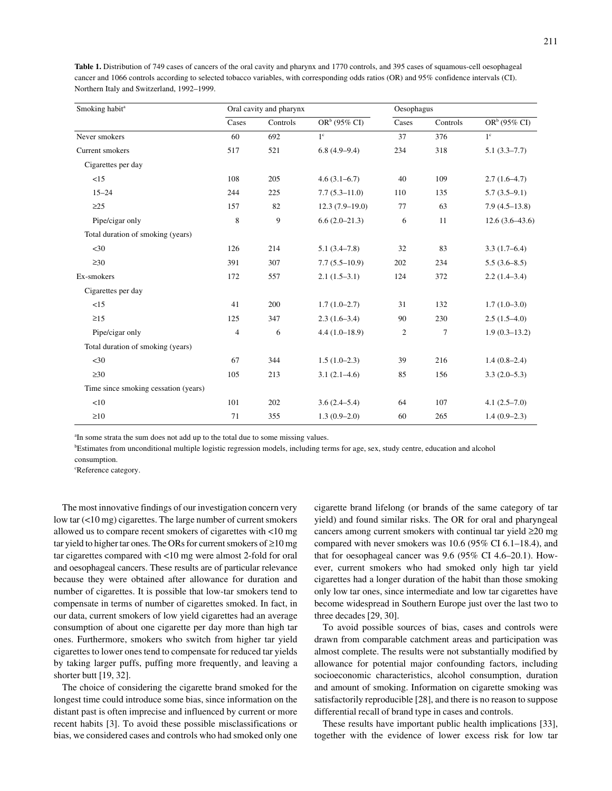| Smoking habit <sup>a</sup>           |                | Oral cavity and pharynx |                  | Oesophagus     |          |                  |
|--------------------------------------|----------------|-------------------------|------------------|----------------|----------|------------------|
|                                      | Cases          | Controls                | $ORb (95\% CI)$  | Cases          | Controls | $OR^b$ (95% CI)  |
| Never smokers                        | 60             | 692                     | 1 <sup>c</sup>   | 37             | 376      | $1^{\circ}$      |
| Current smokers                      | 517            | 521                     | $6.8(4.9-9.4)$   | 234            | 318      | $5.1(3.3-7.7)$   |
| Cigarettes per day                   |                |                         |                  |                |          |                  |
| <15                                  | 108            | 205                     | $4.6(3.1-6.7)$   | 40             | 109      | $2.7(1.6-4.7)$   |
| $15 - 24$                            | 244            | 225                     | $7.7(5.3-11.0)$  | 110            | 135      | $5.7(3.5-9.1)$   |
| $\geq$ 25                            | 157            | 82                      | $12.3(7.9-19.0)$ | 77             | 63       | $7.9(4.5-13.8)$  |
| Pipe/cigar only                      | 8              | 9                       | $6.6(2.0-21.3)$  | 6              | 11       | $12.6(3.6-43.6)$ |
| Total duration of smoking (years)    |                |                         |                  |                |          |                  |
| $<$ 30                               | 126            | 214                     | $5.1(3.4 - 7.8)$ | 32             | 83       | $3.3(1.7-6.4)$   |
| $\geq 30$                            | 391            | 307                     | $7.7(5.5-10.9)$  | 202            | 234      | $5.5(3.6-8.5)$   |
| Ex-smokers                           | 172            | 557                     | $2.1(1.5-3.1)$   | 124            | 372      | $2.2(1.4-3.4)$   |
| Cigarettes per day                   |                |                         |                  |                |          |                  |
| <15                                  | 41             | 200                     | $1.7(1.0-2.7)$   | 31             | 132      | $1.7(1.0-3.0)$   |
| $\geq15$                             | 125            | 347                     | $2.3(1.6-3.4)$   | 90             | 230      | $2.5(1.5-4.0)$   |
| Pipe/cigar only                      | $\overline{4}$ | 6                       | $4.4(1.0-18.9)$  | $\overline{c}$ | 7        | $1.9(0.3-13.2)$  |
| Total duration of smoking (years)    |                |                         |                  |                |          |                  |
| $<$ 30                               | 67             | 344                     | $1.5(1.0-2.3)$   | 39             | 216      | $1.4(0.8-2.4)$   |
| $\geq 30$                            | 105            | 213                     | $3.1(2.1-4.6)$   | 85             | 156      | $3.3(2.0-5.3)$   |
| Time since smoking cessation (years) |                |                         |                  |                |          |                  |
| <10                                  | 101            | 202                     | $3.6(2.4-5.4)$   | 64             | 107      | $4.1(2.5-7.0)$   |
| $\geq 10$                            | 71             | 355                     | $1.3(0.9-2.0)$   | 60             | 265      | $1.4(0.9-2.3)$   |

**Table 1.** Distribution of 749 cases of cancers of the oral cavity and pharynx and 1770 controls, and 395 cases of squamous-cell oesophageal cancer and 1066 controls according to selected tobacco variables, with corresponding odds ratios (OR) and 95% confidence intervals (CI). Northern Italy and Switzerland, 1992–1999.

<sup>a</sup>In some strata the sum does not add up to the total due to some missing values.

b Estimates from unconditional multiple logistic regression models, including terms for age, sex, study centre, education and alcohol

consumption.

c Reference category.

The most innovative findings of our investigation concern very low tar (<10 mg) cigarettes. The large number of current smokers allowed us to compare recent smokers of cigarettes with <10 mg tar yield to higher tar ones. The ORs for current smokers of ≥10 mg tar cigarettes compared with <10 mg were almost 2-fold for oral and oesophageal cancers. These results are of particular relevance because they were obtained after allowance for duration and number of cigarettes. It is possible that low-tar smokers tend to compensate in terms of number of cigarettes smoked. In fact, in our data, current smokers of low yield cigarettes had an average consumption of about one cigarette per day more than high tar ones. Furthermore, smokers who switch from higher tar yield cigarettes to lower ones tend to compensate for reduced tar yields by taking larger puffs, puffing more frequently, and leaving a shorter butt [19, 32].

The choice of considering the cigarette brand smoked for the longest time could introduce some bias, since information on the distant past is often imprecise and influenced by current or more recent habits [3]. To avoid these possible misclassifications or bias, we considered cases and controls who had smoked only one cigarette brand lifelong (or brands of the same category of tar yield) and found similar risks. The OR for oral and pharyngeal cancers among current smokers with continual tar yield ≥20 mg compared with never smokers was 10.6 (95% CI 6.1–18.4), and that for oesophageal cancer was 9.6 (95% CI 4.6–20.1). However, current smokers who had smoked only high tar yield cigarettes had a longer duration of the habit than those smoking only low tar ones, since intermediate and low tar cigarettes have become widespread in Southern Europe just over the last two to three decades [29, 30].

To avoid possible sources of bias, cases and controls were drawn from comparable catchment areas and participation was almost complete. The results were not substantially modified by allowance for potential major confounding factors, including socioeconomic characteristics, alcohol consumption, duration and amount of smoking. Information on cigarette smoking was satisfactorily reproducible [28], and there is no reason to suppose differential recall of brand type in cases and controls.

These results have important public health implications [33], together with the evidence of lower excess risk for low tar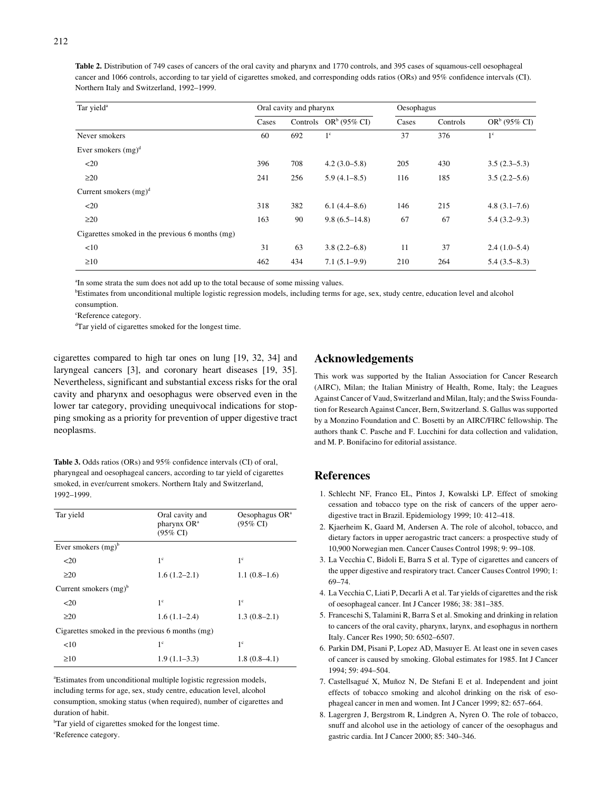**Table 2.** Distribution of 749 cases of cancers of the oral cavity and pharynx and 1770 controls, and 395 cases of squamous-cell oesophageal cancer and 1066 controls, according to tar yield of cigarettes smoked, and corresponding odds ratios (ORs) and 95% confidence intervals (CI). Northern Italy and Switzerland, 1992–1999.

| Tar yield <sup>a</sup>                          | Oral cavity and pharynx |     |                          |       | Oesophagus |                |  |
|-------------------------------------------------|-------------------------|-----|--------------------------|-------|------------|----------------|--|
|                                                 | Cases                   |     | Controls $OR^b$ (95% CI) | Cases | Controls   | $ORb$ (95% CI) |  |
| Never smokers                                   | 60                      | 692 | $1^{\circ}$              | 37    | 376        | $1^{\circ}$    |  |
| Ever smokers $(mg)^d$                           |                         |     |                          |       |            |                |  |
| <20                                             | 396                     | 708 | $4.2(3.0-5.8)$           | 205   | 430        | $3.5(2.3-5.3)$ |  |
| $\geq$ 20                                       | 241                     | 256 | $5.9(4.1 - 8.5)$         | 116   | 185        | $3.5(2.2-5.6)$ |  |
| Current smokers $(mg)^d$                        |                         |     |                          |       |            |                |  |
| $20$                                            | 318                     | 382 | 6.1(4.4–8.6)             | 146   | 215        | $4.8(3.1-7.6)$ |  |
| $\geq$ 20                                       | 163                     | 90  | $9.8(6.5-14.8)$          | 67    | 67         | $5.4(3.2-9.3)$ |  |
| Cigarettes smoked in the previous 6 months (mg) |                         |     |                          |       |            |                |  |
| <10                                             | 31                      | 63  | $3.8(2.2 - 6.8)$         | 11    | 37         | $2.4(1.0-5.4)$ |  |
| $\geq 10$                                       | 462                     | 434 | $7.1(5.1-9.9)$           | 210   | 264        | $5.4(3.5-8.3)$ |  |

<sup>a</sup>In some strata the sum does not add up to the total because of some missing values.

b Estimates from unconditional multiple logistic regression models, including terms for age, sex, study centre, education level and alcohol consumption.

c Reference category.

d Tar yield of cigarettes smoked for the longest time.

cigarettes compared to high tar ones on lung [19, 32, 34] and laryngeal cancers [3], and coronary heart diseases [19, 35]. Nevertheless, significant and substantial excess risks for the oral cavity and pharynx and oesophagus were observed even in the lower tar category, providing unequivocal indications for stopping smoking as a priority for prevention of upper digestive tract neoplasms.

**Table 3.** Odds ratios (ORs) and 95% confidence intervals (CI) of oral, pharyngeal and oesophageal cancers, according to tar yield of cigarettes smoked, in ever/current smokers. Northern Italy and Switzerland, 1992–1999.

| Tar yield                | Oral cavity and<br>pharynx OR <sup>a</sup><br>$(95\% \text{ CI})$ | Oesophagus $OR^a$<br>$(95\% \text{ CI})$ |
|--------------------------|-------------------------------------------------------------------|------------------------------------------|
| Ever smokers $(mg)^b$    |                                                                   |                                          |
| $20$                     | 1 <sup>c</sup>                                                    | $1^{\circ}$                              |
| >20                      | $1.6(1.2-2.1)$                                                    | $1.1(0.8-1.6)$                           |
| Current smokers $(mg)^b$ |                                                                   |                                          |
| $20$                     | 1 <sup>c</sup>                                                    | $1^{\circ}$                              |
| $\geq$ 20                | $1.6(1.1-2.4)$                                                    | $1.3(0.8-2.1)$                           |
|                          | Cigarettes smoked in the previous 6 months (mg)                   |                                          |
| <10                      | $1^{\circ}$                                                       | $1^{\circ}$                              |
| $\geq 10$                | $1.9(1.1-3.3)$                                                    | $1.8(0.8-4.1)$                           |

a Estimates from unconditional multiple logistic regression models, including terms for age, sex, study centre, education level, alcohol consumption, smoking status (when required), number of cigarettes and duration of habit.

<sup>b</sup>Tar yield of cigarettes smoked for the longest time. c Reference category.

# **Acknowledgements**

This work was supported by the Italian Association for Cancer Research (AIRC), Milan; the Italian Ministry of Health, Rome, Italy; the Leagues Against Cancer of Vaud, Switzerland and Milan, Italy; and the Swiss Foundation for Research Against Cancer, Bern, Switzerland. S. Gallus was supported by a Monzino Foundation and C. Bosetti by an AIRC/FIRC fellowship. The authors thank C. Pasche and F. Lucchini for data collection and validation, and M. P. Bonifacino for editorial assistance.

### **References**

- 1. Schlecht NF, Franco EL, Pintos J, Kowalski LP. Effect of smoking cessation and tobacco type on the risk of cancers of the upper aerodigestive tract in Brazil. Epidemiology 1999; 10: 412–418.
- 2. Kjaerheim K, Gaard M, Andersen A. The role of alcohol, tobacco, and dietary factors in upper aerogastric tract cancers: a prospective study of 10,900 Norwegian men. Cancer Causes Control 1998; 9: 99–108.
- 3. La Vecchia C, Bidoli E, Barra S et al. Type of cigarettes and cancers of the upper digestive and respiratory tract. Cancer Causes Control 1990; 1: 69–74.
- 4. La Vecchia C, Liati P, Decarli A et al. Tar yields of cigarettes and the risk of oesophageal cancer. Int J Cancer 1986; 38: 381–385.
- 5. Franceschi S, Talamini R, Barra S et al. Smoking and drinking in relation to cancers of the oral cavity, pharynx, larynx, and esophagus in northern Italy. Cancer Res 1990; 50: 6502–6507.
- 6. Parkin DM, Pisani P, Lopez AD, Masuyer E. At least one in seven cases of cancer is caused by smoking. Global estimates for 1985. Int J Cancer 1994; 59: 494–504.
- 7. Castellsagué X, Muñoz N, De Stefani E et al. Independent and joint effects of tobacco smoking and alcohol drinking on the risk of esophageal cancer in men and women. Int J Cancer 1999; 82: 657–664.
- 8. Lagergren J, Bergstrom R, Lindgren A, Nyren O. The role of tobacco, snuff and alcohol use in the aetiology of cancer of the oesophagus and gastric cardia. Int J Cancer 2000; 85: 340–346.